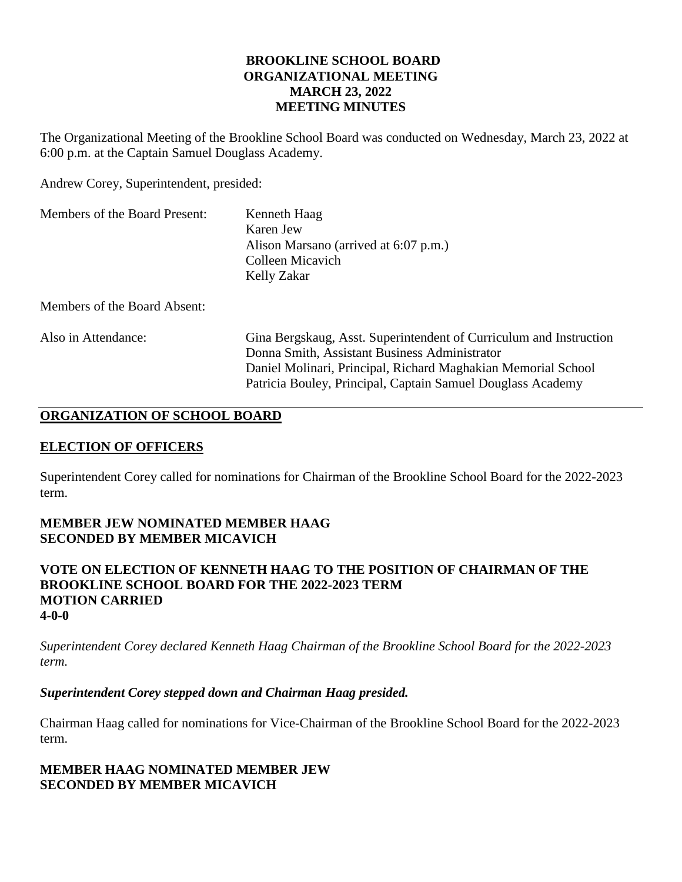## **BROOKLINE SCHOOL BOARD ORGANIZATIONAL MEETING MARCH 23, 2022 MEETING MINUTES**

The Organizational Meeting of the Brookline School Board was conducted on Wednesday, March 23, 2022 at 6:00 p.m. at the Captain Samuel Douglass Academy.

Andrew Corey, Superintendent, presided:

| Members of the Board Present: | Kenneth Haag                          |
|-------------------------------|---------------------------------------|
|                               | Karen Jew                             |
|                               | Alison Marsano (arrived at 6:07 p.m.) |
|                               | Colleen Micavich                      |
|                               | Kelly Zakar                           |

Members of the Board Absent:

| Also in Attendance: | Gina Bergskaug, Asst. Superintendent of Curriculum and Instruction |
|---------------------|--------------------------------------------------------------------|
|                     | Donna Smith, Assistant Business Administrator                      |
|                     | Daniel Molinari, Principal, Richard Maghakian Memorial School      |
|                     | Patricia Bouley, Principal, Captain Samuel Douglass Academy        |

## **ORGANIZATION OF SCHOOL BOARD**

## **ELECTION OF OFFICERS**

Superintendent Corey called for nominations for Chairman of the Brookline School Board for the 2022-2023 term.

## **MEMBER JEW NOMINATED MEMBER HAAG SECONDED BY MEMBER MICAVICH**

**VOTE ON ELECTION OF KENNETH HAAG TO THE POSITION OF CHAIRMAN OF THE BROOKLINE SCHOOL BOARD FOR THE 2022-2023 TERM MOTION CARRIED 4-0-0**

*Superintendent Corey declared Kenneth Haag Chairman of the Brookline School Board for the 2022-2023 term.*

## *Superintendent Corey stepped down and Chairman Haag presided.*

Chairman Haag called for nominations for Vice-Chairman of the Brookline School Board for the 2022-2023 term.

## **MEMBER HAAG NOMINATED MEMBER JEW SECONDED BY MEMBER MICAVICH**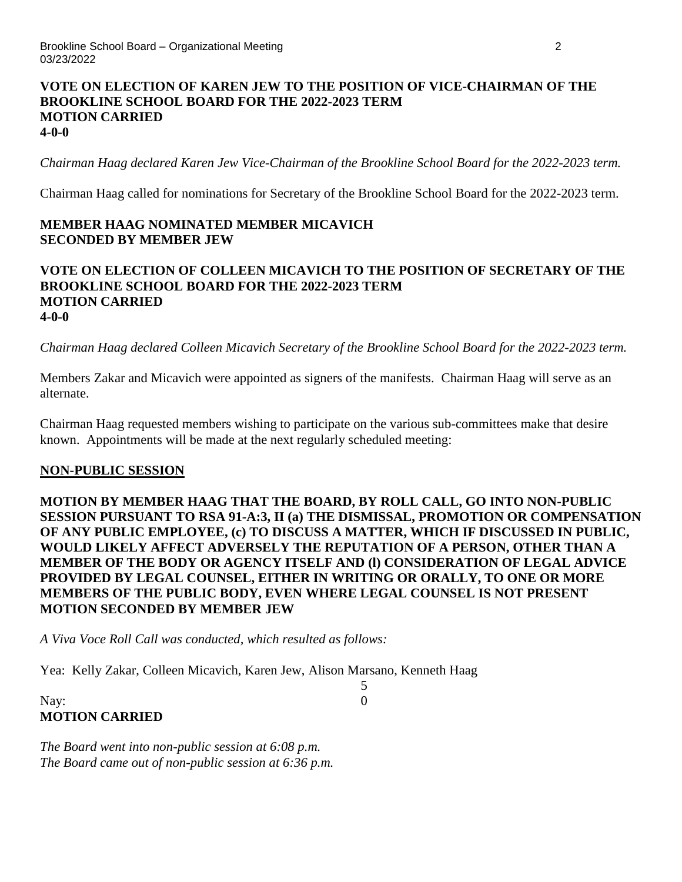### **VOTE ON ELECTION OF KAREN JEW TO THE POSITION OF VICE-CHAIRMAN OF THE BROOKLINE SCHOOL BOARD FOR THE 2022-2023 TERM MOTION CARRIED 4-0-0**

*Chairman Haag declared Karen Jew Vice-Chairman of the Brookline School Board for the 2022-2023 term.*

Chairman Haag called for nominations for Secretary of the Brookline School Board for the 2022-2023 term.

## **MEMBER HAAG NOMINATED MEMBER MICAVICH SECONDED BY MEMBER JEW**

### **VOTE ON ELECTION OF COLLEEN MICAVICH TO THE POSITION OF SECRETARY OF THE BROOKLINE SCHOOL BOARD FOR THE 2022-2023 TERM MOTION CARRIED 4-0-0**

*Chairman Haag declared Colleen Micavich Secretary of the Brookline School Board for the 2022-2023 term.*

Members Zakar and Micavich were appointed as signers of the manifests. Chairman Haag will serve as an alternate.

Chairman Haag requested members wishing to participate on the various sub-committees make that desire known. Appointments will be made at the next regularly scheduled meeting:

### **NON-PUBLIC SESSION**

**MOTION BY MEMBER HAAG THAT THE BOARD, BY ROLL CALL, GO INTO NON-PUBLIC SESSION PURSUANT TO RSA 91-A:3, II (a) THE DISMISSAL, PROMOTION OR COMPENSATION OF ANY PUBLIC EMPLOYEE, (c) TO DISCUSS A MATTER, WHICH IF DISCUSSED IN PUBLIC, WOULD LIKELY AFFECT ADVERSELY THE REPUTATION OF A PERSON, OTHER THAN A MEMBER OF THE BODY OR AGENCY ITSELF AND (l) CONSIDERATION OF LEGAL ADVICE PROVIDED BY LEGAL COUNSEL, EITHER IN WRITING OR ORALLY, TO ONE OR MORE MEMBERS OF THE PUBLIC BODY, EVEN WHERE LEGAL COUNSEL IS NOT PRESENT MOTION SECONDED BY MEMBER JEW** 

5

*A Viva Voce Roll Call was conducted, which resulted as follows:*

Yea: Kelly Zakar, Colleen Micavich, Karen Jew, Alison Marsano, Kenneth Haag

# Nay: 0 **MOTION CARRIED**

*The Board went into non-public session at 6:08 p.m. The Board came out of non-public session at 6:36 p.m.*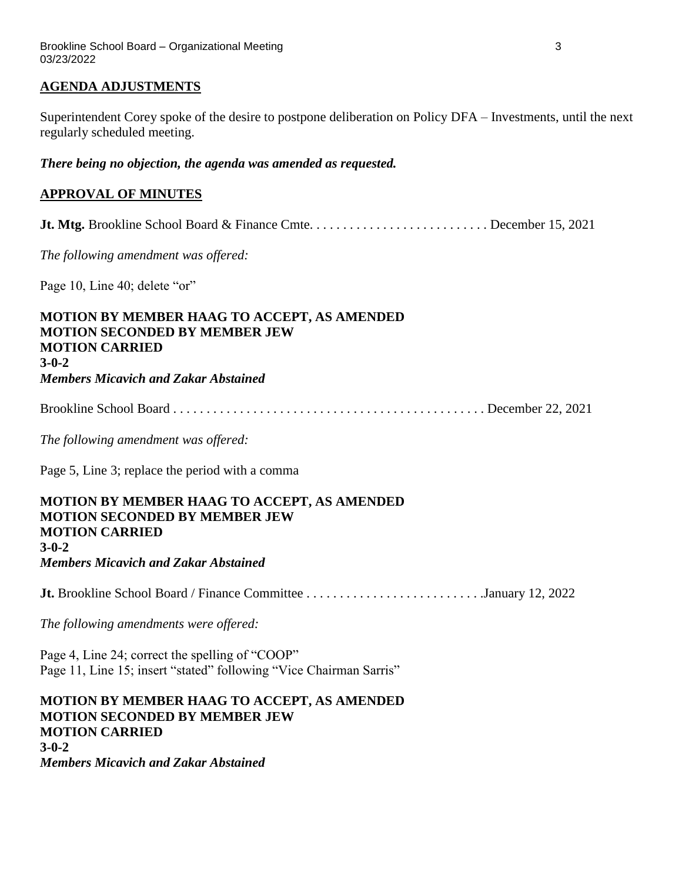### **AGENDA ADJUSTMENTS**

Superintendent Corey spoke of the desire to postpone deliberation on Policy DFA – Investments, until the next regularly scheduled meeting.

*There being no objection, the agenda was amended as requested.*

# **APPROVAL OF MINUTES**

**Jt. Mtg.** Brookline School Board & Finance Cmte. . . . . . . . . . . . . . . . . . . . . . . . . . . December 15, 2021

*The following amendment was offered:*

Page 10, Line 40; delete "or"

### **MOTION BY MEMBER HAAG TO ACCEPT, AS AMENDED MOTION SECONDED BY MEMBER JEW MOTION CARRIED 3-0-2** *Members Micavich and Zakar Abstained*

Brookline School Board . . . . . . . . . . . . . . . . . . . . . . . . . . . . . . . . . . . . . . . . . . . . . . . December 22, 2021

*The following amendment was offered:*

Page 5, Line 3; replace the period with a comma

## **MOTION BY MEMBER HAAG TO ACCEPT, AS AMENDED MOTION SECONDED BY MEMBER JEW MOTION CARRIED 3-0-2** *Members Micavich and Zakar Abstained*

**Jt.** Brookline School Board / Finance Committee . . . . . . . . . . . . . . . . . . . . . . . . . . .January 12, 2022

*The following amendments were offered:*

Page 4, Line 24; correct the spelling of "COOP" Page 11, Line 15; insert "stated" following "Vice Chairman Sarris"

**MOTION BY MEMBER HAAG TO ACCEPT, AS AMENDED MOTION SECONDED BY MEMBER JEW MOTION CARRIED 3-0-2** *Members Micavich and Zakar Abstained*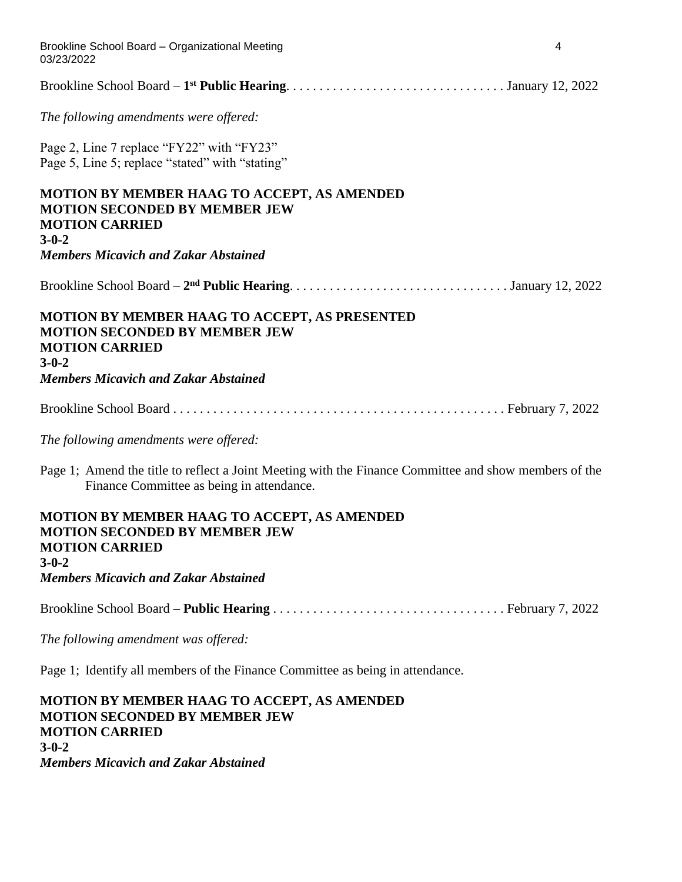| Brookline School Board - Organizational Meeting<br>03/23/2022                                                                                      | 4 |
|----------------------------------------------------------------------------------------------------------------------------------------------------|---|
|                                                                                                                                                    |   |
| The following amendments were offered:                                                                                                             |   |
| Page 2, Line 7 replace "FY22" with "FY23"<br>Page 5, Line 5; replace "stated" with "stating"                                                       |   |
| <b>MOTION BY MEMBER HAAG TO ACCEPT, AS AMENDED</b><br><b>MOTION SECONDED BY MEMBER JEW</b><br><b>MOTION CARRIED</b><br>$3 - 0 - 2$                 |   |
| <b>Members Micavich and Zakar Abstained</b>                                                                                                        |   |
|                                                                                                                                                    |   |
| MOTION BY MEMBER HAAG TO ACCEPT, AS PRESENTED<br><b>MOTION SECONDED BY MEMBER JEW</b><br><b>MOTION CARRIED</b><br>$3 - 0 - 2$                      |   |
| <b>Members Micavich and Zakar Abstained</b>                                                                                                        |   |
|                                                                                                                                                    |   |
| The following amendments were offered:                                                                                                             |   |
| Page 1; Amend the title to reflect a Joint Meeting with the Finance Committee and show members of the<br>Finance Committee as being in attendance. |   |
| MOTION BY MEMBER HAAG TO ACCEPT, AS AMENDED<br><b>MOTION SECONDED BY MEMBER JEW</b><br><b>MOTION CARRIED</b><br>$3 - 0 - 2$                        |   |
| <b>Members Micavich and Zakar Abstained</b>                                                                                                        |   |
|                                                                                                                                                    |   |
| The following amendment was offered:                                                                                                               |   |
| Page 1; Identify all members of the Finance Committee as being in attendance.                                                                      |   |

**MOTION BY MEMBER HAAG TO ACCEPT, AS AMENDED MOTION SECONDED BY MEMBER JEW MOTION CARRIED 3-0-2** *Members Micavich and Zakar Abstained*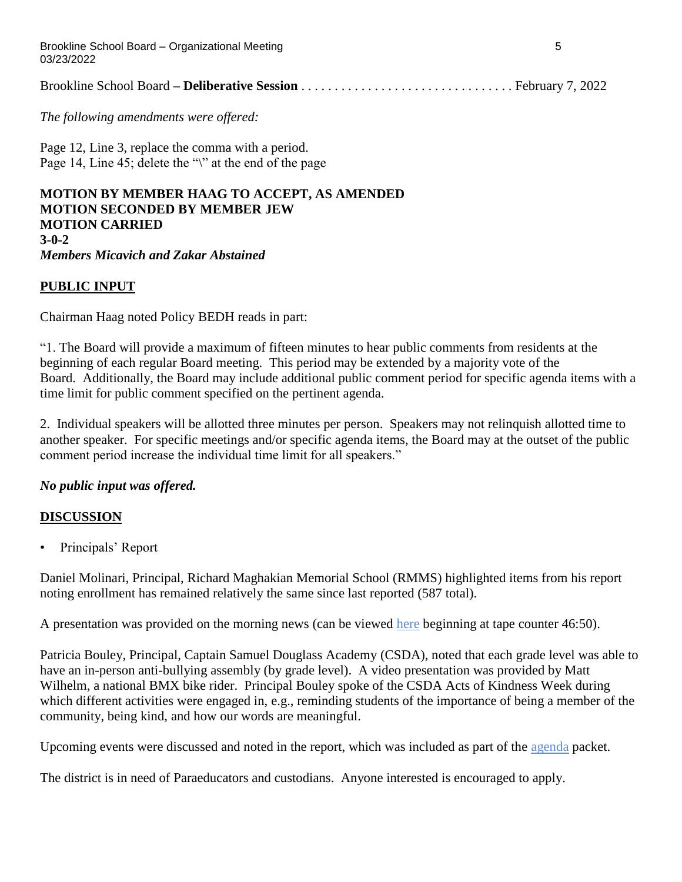Brookline School Board – Organizational Meeting 5 03/23/2022

|--|--|--|

*The following amendments were offered:*

Page 12, Line 3, replace the comma with a period. Page 14, Line 45; delete the "\" at the end of the page

### **MOTION BY MEMBER HAAG TO ACCEPT, AS AMENDED MOTION SECONDED BY MEMBER JEW MOTION CARRIED 3-0-2** *Members Micavich and Zakar Abstained*

### **PUBLIC INPUT**

Chairman Haag noted Policy BEDH reads in part:

"1. The Board will provide a maximum of fifteen minutes to hear public comments from residents at the beginning of each regular Board meeting. This period may be extended by a majority vote of the Board. Additionally, the Board may include additional public comment period for specific agenda items with a time limit for public comment specified on the pertinent agenda.

2. Individual speakers will be allotted three minutes per person. Speakers may not relinquish allotted time to another speaker. For specific meetings and/or specific agenda items, the Board may at the outset of the public comment period increase the individual time limit for all speakers."

### *No public input was offered.*

### **DISCUSSION**

• Principals' Report

Daniel Molinari, Principal, Richard Maghakian Memorial School (RMMS) highlighted items from his report noting enrollment has remained relatively the same since last reported (587 total).

A presentation was provided on the morning news (can be viewed [here](https://www.youtube.com/watch?v=-654d0sSMVk) beginning at tape counter 46:50).

Patricia Bouley, Principal, Captain Samuel Douglass Academy (CSDA), noted that each grade level was able to have an in-person anti-bullying assembly (by grade level). A video presentation was provided by Matt Wilhelm, a national BMX bike rider. Principal Bouley spoke of the CSDA Acts of Kindness Week during which different activities were engaged in, e.g., reminding students of the importance of being a member of the community, being kind, and how our words are meaningful.

Upcoming events were discussed and noted in the report, which was included as part of the [agenda](https://www.sau41.org/docs/district/depts/112/bsb%20agenda%20packet%203.23.22.pdf?id=2921) packet.

The district is in need of Paraeducators and custodians. Anyone interested is encouraged to apply.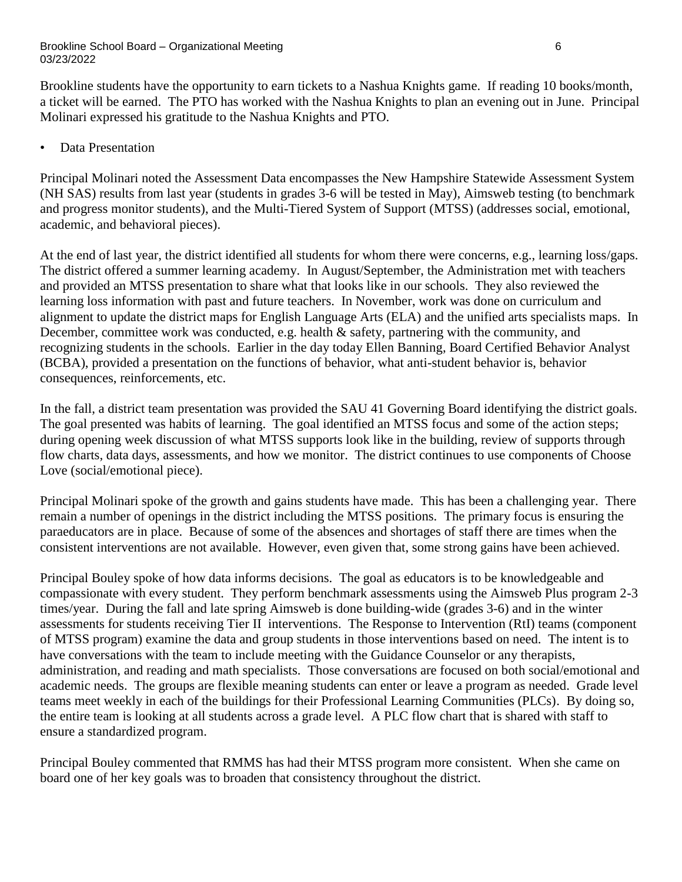Brookline students have the opportunity to earn tickets to a Nashua Knights game. If reading 10 books/month, a ticket will be earned. The PTO has worked with the Nashua Knights to plan an evening out in June. Principal Molinari expressed his gratitude to the Nashua Knights and PTO.

• Data Presentation

Principal Molinari noted the Assessment Data encompasses the New Hampshire Statewide Assessment System (NH SAS) results from last year (students in grades 3-6 will be tested in May), Aimsweb testing (to benchmark and progress monitor students), and the Multi-Tiered System of Support (MTSS) (addresses social, emotional, academic, and behavioral pieces).

At the end of last year, the district identified all students for whom there were concerns, e.g., learning loss/gaps. The district offered a summer learning academy. In August/September, the Administration met with teachers and provided an MTSS presentation to share what that looks like in our schools. They also reviewed the learning loss information with past and future teachers. In November, work was done on curriculum and alignment to update the district maps for English Language Arts (ELA) and the unified arts specialists maps. In December, committee work was conducted, e.g. health & safety, partnering with the community, and recognizing students in the schools. Earlier in the day today Ellen Banning, Board Certified Behavior Analyst (BCBA), provided a presentation on the functions of behavior, what anti-student behavior is, behavior consequences, reinforcements, etc.

In the fall, a district team presentation was provided the SAU 41 Governing Board identifying the district goals. The goal presented was habits of learning. The goal identified an MTSS focus and some of the action steps; during opening week discussion of what MTSS supports look like in the building, review of supports through flow charts, data days, assessments, and how we monitor. The district continues to use components of Choose Love (social/emotional piece).

Principal Molinari spoke of the growth and gains students have made. This has been a challenging year. There remain a number of openings in the district including the MTSS positions. The primary focus is ensuring the paraeducators are in place. Because of some of the absences and shortages of staff there are times when the consistent interventions are not available. However, even given that, some strong gains have been achieved.

Principal Bouley spoke of how data informs decisions. The goal as educators is to be knowledgeable and compassionate with every student. They perform benchmark assessments using the Aimsweb Plus program 2-3 times/year. During the fall and late spring Aimsweb is done building-wide (grades 3-6) and in the winter assessments for students receiving Tier II interventions. The Response to Intervention (RtI) teams (component of MTSS program) examine the data and group students in those interventions based on need. The intent is to have conversations with the team to include meeting with the Guidance Counselor or any therapists, administration, and reading and math specialists. Those conversations are focused on both social/emotional and academic needs. The groups are flexible meaning students can enter or leave a program as needed. Grade level teams meet weekly in each of the buildings for their Professional Learning Communities (PLCs). By doing so, the entire team is looking at all students across a grade level. A PLC flow chart that is shared with staff to ensure a standardized program.

Principal Bouley commented that RMMS has had their MTSS program more consistent. When she came on board one of her key goals was to broaden that consistency throughout the district.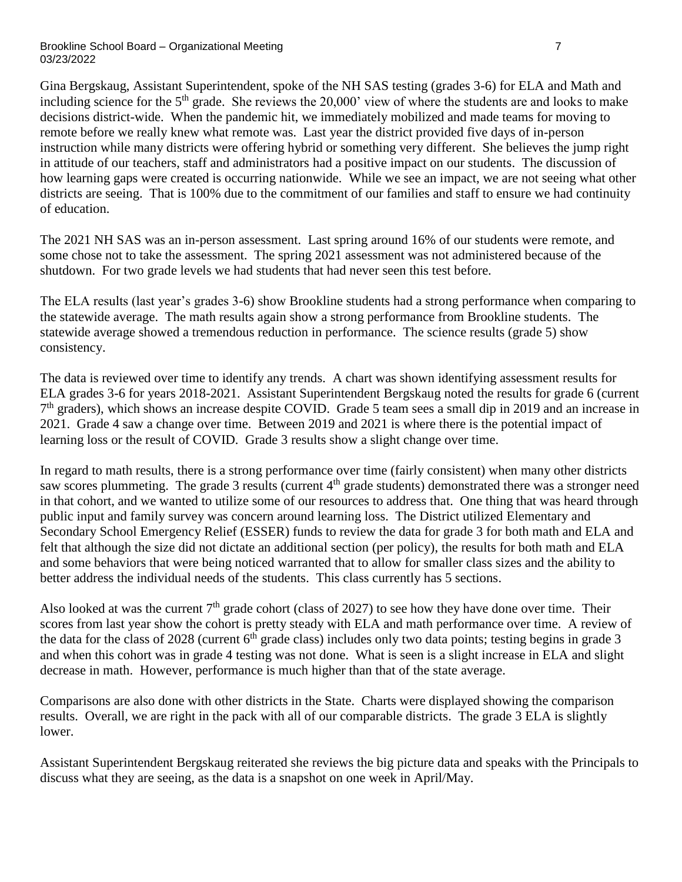Gina Bergskaug, Assistant Superintendent, spoke of the NH SAS testing (grades 3-6) for ELA and Math and including science for the  $5<sup>th</sup>$  grade. She reviews the 20,000' view of where the students are and looks to make decisions district-wide. When the pandemic hit, we immediately mobilized and made teams for moving to remote before we really knew what remote was. Last year the district provided five days of in-person instruction while many districts were offering hybrid or something very different. She believes the jump right in attitude of our teachers, staff and administrators had a positive impact on our students. The discussion of how learning gaps were created is occurring nationwide. While we see an impact, we are not seeing what other districts are seeing. That is 100% due to the commitment of our families and staff to ensure we had continuity of education.

The 2021 NH SAS was an in-person assessment. Last spring around 16% of our students were remote, and some chose not to take the assessment. The spring 2021 assessment was not administered because of the shutdown. For two grade levels we had students that had never seen this test before.

The ELA results (last year's grades 3-6) show Brookline students had a strong performance when comparing to the statewide average. The math results again show a strong performance from Brookline students. The statewide average showed a tremendous reduction in performance. The science results (grade 5) show consistency.

The data is reviewed over time to identify any trends. A chart was shown identifying assessment results for ELA grades 3-6 for years 2018-2021. Assistant Superintendent Bergskaug noted the results for grade 6 (current 7<sup>th</sup> graders), which shows an increase despite COVID. Grade 5 team sees a small dip in 2019 and an increase in 2021. Grade 4 saw a change over time. Between 2019 and 2021 is where there is the potential impact of learning loss or the result of COVID. Grade 3 results show a slight change over time.

In regard to math results, there is a strong performance over time (fairly consistent) when many other districts saw scores plummeting. The grade 3 results (current 4<sup>th</sup> grade students) demonstrated there was a stronger need in that cohort, and we wanted to utilize some of our resources to address that. One thing that was heard through public input and family survey was concern around learning loss. The District utilized Elementary and Secondary School Emergency Relief (ESSER) funds to review the data for grade 3 for both math and ELA and felt that although the size did not dictate an additional section (per policy), the results for both math and ELA and some behaviors that were being noticed warranted that to allow for smaller class sizes and the ability to better address the individual needs of the students. This class currently has 5 sections.

Also looked at was the current  $7<sup>th</sup>$  grade cohort (class of 2027) to see how they have done over time. Their scores from last year show the cohort is pretty steady with ELA and math performance over time. A review of the data for the class of 2028 (current  $6<sup>th</sup>$  grade class) includes only two data points; testing begins in grade 3 and when this cohort was in grade 4 testing was not done. What is seen is a slight increase in ELA and slight decrease in math. However, performance is much higher than that of the state average.

Comparisons are also done with other districts in the State. Charts were displayed showing the comparison results. Overall, we are right in the pack with all of our comparable districts. The grade 3 ELA is slightly lower.

Assistant Superintendent Bergskaug reiterated she reviews the big picture data and speaks with the Principals to discuss what they are seeing, as the data is a snapshot on one week in April/May.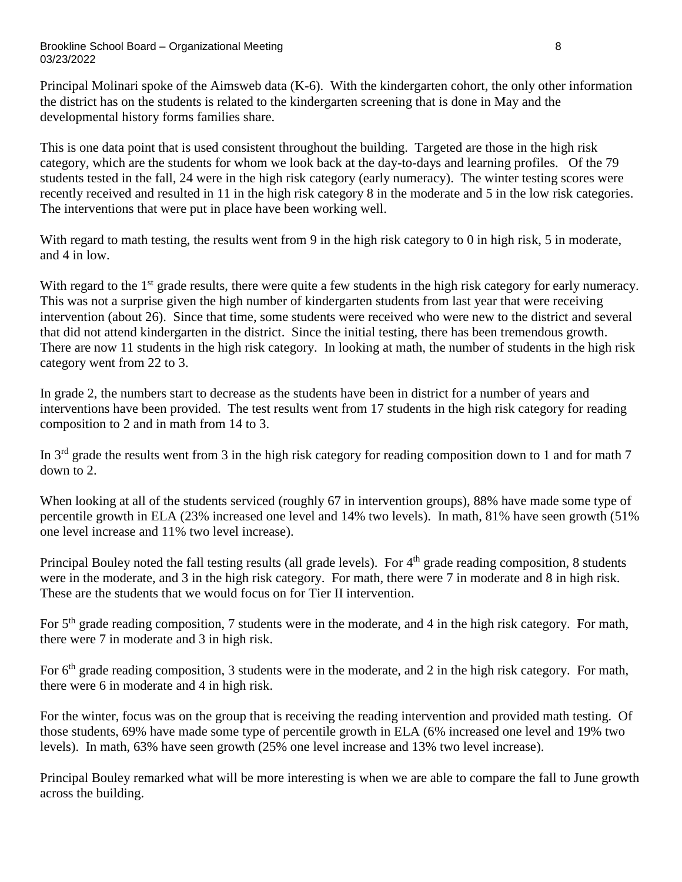#### Brookline School Board – Organizational Meeting 8 03/23/2022

Principal Molinari spoke of the Aimsweb data (K-6). With the kindergarten cohort, the only other information the district has on the students is related to the kindergarten screening that is done in May and the developmental history forms families share.

This is one data point that is used consistent throughout the building. Targeted are those in the high risk category, which are the students for whom we look back at the day-to-days and learning profiles. Of the 79 students tested in the fall, 24 were in the high risk category (early numeracy). The winter testing scores were recently received and resulted in 11 in the high risk category 8 in the moderate and 5 in the low risk categories. The interventions that were put in place have been working well.

With regard to math testing, the results went from 9 in the high risk category to 0 in high risk, 5 in moderate, and 4 in low.

With regard to the 1<sup>st</sup> grade results, there were quite a few students in the high risk category for early numeracy. This was not a surprise given the high number of kindergarten students from last year that were receiving intervention (about 26). Since that time, some students were received who were new to the district and several that did not attend kindergarten in the district. Since the initial testing, there has been tremendous growth. There are now 11 students in the high risk category. In looking at math, the number of students in the high risk category went from 22 to 3.

In grade 2, the numbers start to decrease as the students have been in district for a number of years and interventions have been provided. The test results went from 17 students in the high risk category for reading composition to 2 and in math from 14 to 3.

In 3rd grade the results went from 3 in the high risk category for reading composition down to 1 and for math 7 down to 2.

When looking at all of the students serviced (roughly 67 in intervention groups), 88% have made some type of percentile growth in ELA (23% increased one level and 14% two levels). In math, 81% have seen growth (51% one level increase and 11% two level increase).

Principal Bouley noted the fall testing results (all grade levels). For 4<sup>th</sup> grade reading composition, 8 students were in the moderate, and 3 in the high risk category. For math, there were 7 in moderate and 8 in high risk. These are the students that we would focus on for Tier II intervention.

For 5<sup>th</sup> grade reading composition, 7 students were in the moderate, and 4 in the high risk category. For math, there were 7 in moderate and 3 in high risk.

For 6<sup>th</sup> grade reading composition, 3 students were in the moderate, and 2 in the high risk category. For math, there were 6 in moderate and 4 in high risk.

For the winter, focus was on the group that is receiving the reading intervention and provided math testing. Of those students, 69% have made some type of percentile growth in ELA (6% increased one level and 19% two levels). In math, 63% have seen growth (25% one level increase and 13% two level increase).

Principal Bouley remarked what will be more interesting is when we are able to compare the fall to June growth across the building.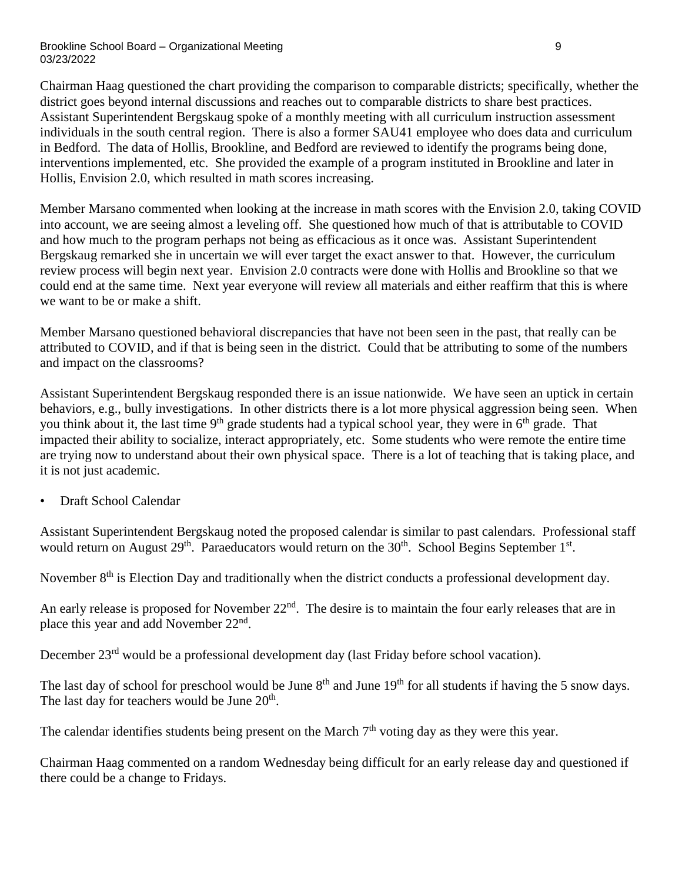#### Brookline School Board – Organizational Meeting 9 03/23/2022

Chairman Haag questioned the chart providing the comparison to comparable districts; specifically, whether the district goes beyond internal discussions and reaches out to comparable districts to share best practices. Assistant Superintendent Bergskaug spoke of a monthly meeting with all curriculum instruction assessment individuals in the south central region. There is also a former SAU41 employee who does data and curriculum in Bedford. The data of Hollis, Brookline, and Bedford are reviewed to identify the programs being done, interventions implemented, etc. She provided the example of a program instituted in Brookline and later in Hollis, Envision 2.0, which resulted in math scores increasing.

Member Marsano commented when looking at the increase in math scores with the Envision 2.0, taking COVID into account, we are seeing almost a leveling off. She questioned how much of that is attributable to COVID and how much to the program perhaps not being as efficacious as it once was. Assistant Superintendent Bergskaug remarked she in uncertain we will ever target the exact answer to that. However, the curriculum review process will begin next year. Envision 2.0 contracts were done with Hollis and Brookline so that we could end at the same time. Next year everyone will review all materials and either reaffirm that this is where we want to be or make a shift.

Member Marsano questioned behavioral discrepancies that have not been seen in the past, that really can be attributed to COVID, and if that is being seen in the district. Could that be attributing to some of the numbers and impact on the classrooms?

Assistant Superintendent Bergskaug responded there is an issue nationwide. We have seen an uptick in certain behaviors, e.g., bully investigations. In other districts there is a lot more physical aggression being seen. When you think about it, the last time 9<sup>th</sup> grade students had a typical school year, they were in 6<sup>th</sup> grade. That impacted their ability to socialize, interact appropriately, etc. Some students who were remote the entire time are trying now to understand about their own physical space. There is a lot of teaching that is taking place, and it is not just academic.

• Draft School Calendar

Assistant Superintendent Bergskaug noted the proposed calendar is similar to past calendars. Professional staff would return on August  $29<sup>th</sup>$ . Paraeducators would return on the  $30<sup>th</sup>$ . School Begins September  $1<sup>st</sup>$ .

November 8<sup>th</sup> is Election Day and traditionally when the district conducts a professional development day.

An early release is proposed for November 22<sup>nd</sup>. The desire is to maintain the four early releases that are in place this year and add November 22<sup>nd</sup>.

December 23<sup>rd</sup> would be a professional development day (last Friday before school vacation).

The last day of school for preschool would be June  $8<sup>th</sup>$  and June  $19<sup>th</sup>$  for all students if having the 5 snow days. The last day for teachers would be June 20<sup>th</sup>.

The calendar identifies students being present on the March  $7<sup>th</sup>$  voting day as they were this year.

Chairman Haag commented on a random Wednesday being difficult for an early release day and questioned if there could be a change to Fridays.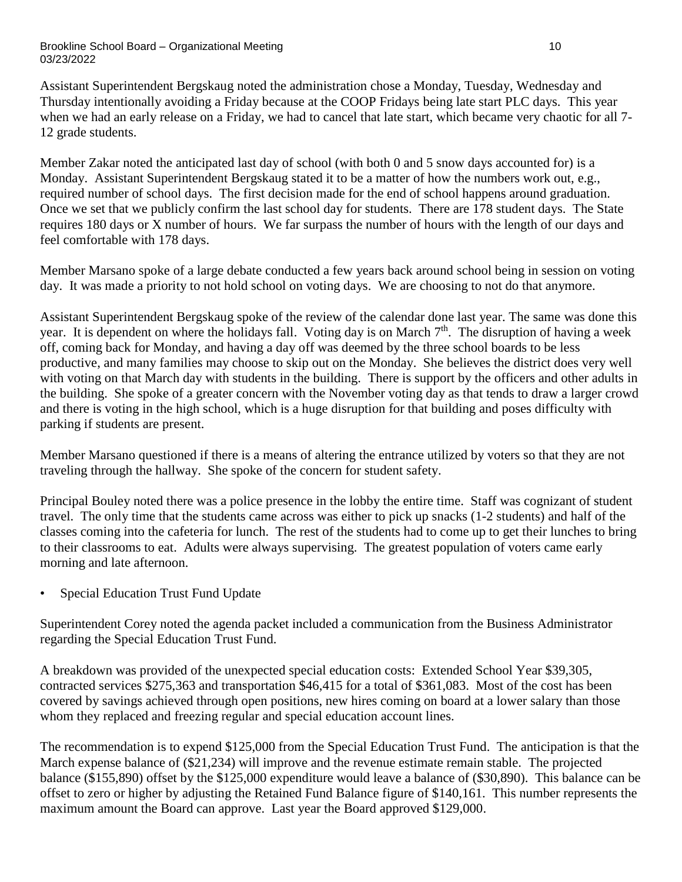#### Brookline School Board – Organizational Meeting 10 and 10 and 10 and 10 and 10 and 10 and 10 and 10 and 10 and 10 and 10 and 10 and 10 and 10 and 10 and 10 and 10 and 10 and 10 and 10 and 10 and 10 and 10 and 10 and 10 and 03/23/2022

Assistant Superintendent Bergskaug noted the administration chose a Monday, Tuesday, Wednesday and Thursday intentionally avoiding a Friday because at the COOP Fridays being late start PLC days. This year when we had an early release on a Friday, we had to cancel that late start, which became very chaotic for all 7- 12 grade students.

Member Zakar noted the anticipated last day of school (with both 0 and 5 snow days accounted for) is a Monday. Assistant Superintendent Bergskaug stated it to be a matter of how the numbers work out, e.g., required number of school days. The first decision made for the end of school happens around graduation. Once we set that we publicly confirm the last school day for students. There are 178 student days. The State requires 180 days or X number of hours. We far surpass the number of hours with the length of our days and feel comfortable with 178 days.

Member Marsano spoke of a large debate conducted a few years back around school being in session on voting day. It was made a priority to not hold school on voting days. We are choosing to not do that anymore.

Assistant Superintendent Bergskaug spoke of the review of the calendar done last year. The same was done this year. It is dependent on where the holidays fall. Voting day is on March 7<sup>th</sup>. The disruption of having a week off, coming back for Monday, and having a day off was deemed by the three school boards to be less productive, and many families may choose to skip out on the Monday. She believes the district does very well with voting on that March day with students in the building. There is support by the officers and other adults in the building. She spoke of a greater concern with the November voting day as that tends to draw a larger crowd and there is voting in the high school, which is a huge disruption for that building and poses difficulty with parking if students are present.

Member Marsano questioned if there is a means of altering the entrance utilized by voters so that they are not traveling through the hallway. She spoke of the concern for student safety.

Principal Bouley noted there was a police presence in the lobby the entire time. Staff was cognizant of student travel. The only time that the students came across was either to pick up snacks (1-2 students) and half of the classes coming into the cafeteria for lunch. The rest of the students had to come up to get their lunches to bring to their classrooms to eat. Adults were always supervising. The greatest population of voters came early morning and late afternoon.

• Special Education Trust Fund Update

Superintendent Corey noted the agenda packet included a communication from the Business Administrator regarding the Special Education Trust Fund.

A breakdown was provided of the unexpected special education costs: Extended School Year \$39,305, contracted services \$275,363 and transportation \$46,415 for a total of \$361,083. Most of the cost has been covered by savings achieved through open positions, new hires coming on board at a lower salary than those whom they replaced and freezing regular and special education account lines.

The recommendation is to expend \$125,000 from the Special Education Trust Fund. The anticipation is that the March expense balance of (\$21,234) will improve and the revenue estimate remain stable. The projected balance (\$155,890) offset by the \$125,000 expenditure would leave a balance of (\$30,890). This balance can be offset to zero or higher by adjusting the Retained Fund Balance figure of \$140,161. This number represents the maximum amount the Board can approve. Last year the Board approved \$129,000.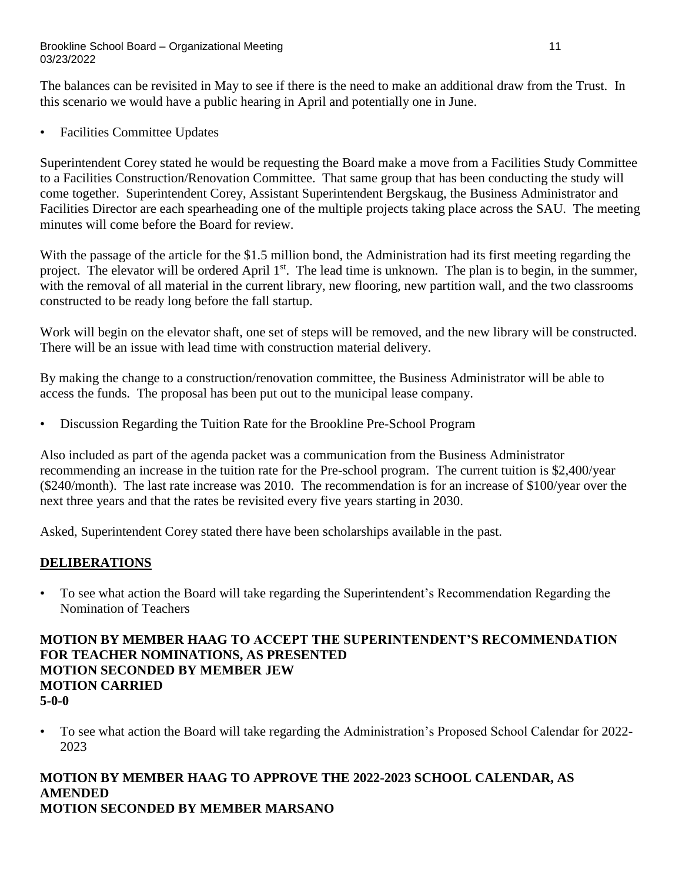#### Brookline School Board – Organizational Meeting 11 and 11 and 11 and 11 and 11 and 11 and 11 and 11 and 11 and 11 03/23/2022

The balances can be revisited in May to see if there is the need to make an additional draw from the Trust. In this scenario we would have a public hearing in April and potentially one in June.

• Facilities Committee Updates

Superintendent Corey stated he would be requesting the Board make a move from a Facilities Study Committee to a Facilities Construction/Renovation Committee. That same group that has been conducting the study will come together. Superintendent Corey, Assistant Superintendent Bergskaug, the Business Administrator and Facilities Director are each spearheading one of the multiple projects taking place across the SAU. The meeting minutes will come before the Board for review.

With the passage of the article for the \$1.5 million bond, the Administration had its first meeting regarding the project. The elevator will be ordered April 1<sup>st</sup>. The lead time is unknown. The plan is to begin, in the summer, with the removal of all material in the current library, new flooring, new partition wall, and the two classrooms constructed to be ready long before the fall startup.

Work will begin on the elevator shaft, one set of steps will be removed, and the new library will be constructed. There will be an issue with lead time with construction material delivery.

By making the change to a construction/renovation committee, the Business Administrator will be able to access the funds. The proposal has been put out to the municipal lease company.

• Discussion Regarding the Tuition Rate for the Brookline Pre-School Program

Also included as part of the agenda packet was a communication from the Business Administrator recommending an increase in the tuition rate for the Pre-school program. The current tuition is \$2,400/year (\$240/month). The last rate increase was 2010. The recommendation is for an increase of \$100/year over the next three years and that the rates be revisited every five years starting in 2030.

Asked, Superintendent Corey stated there have been scholarships available in the past.

# **DELIBERATIONS**

• To see what action the Board will take regarding the Superintendent's Recommendation Regarding the Nomination of Teachers

## **MOTION BY MEMBER HAAG TO ACCEPT THE SUPERINTENDENT'S RECOMMENDATION FOR TEACHER NOMINATIONS, AS PRESENTED MOTION SECONDED BY MEMBER JEW MOTION CARRIED 5-0-0**

• To see what action the Board will take regarding the Administration's Proposed School Calendar for 2022- 2023

## **MOTION BY MEMBER HAAG TO APPROVE THE 2022-2023 SCHOOL CALENDAR, AS AMENDED MOTION SECONDED BY MEMBER MARSANO**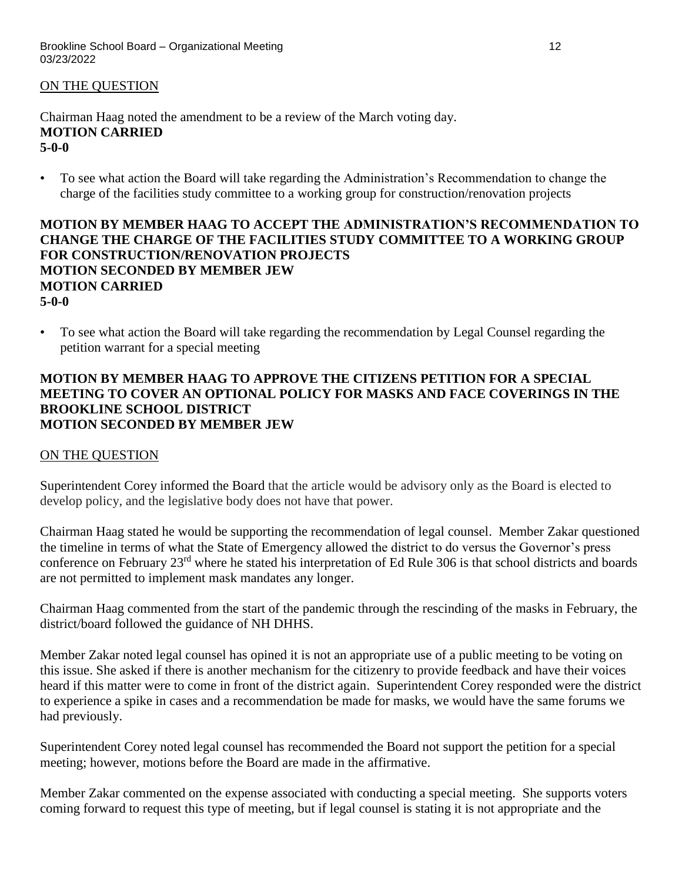## ON THE QUESTION

Chairman Haag noted the amendment to be a review of the March voting day. **MOTION CARRIED 5-0-0**

• To see what action the Board will take regarding the Administration's Recommendation to change the charge of the facilities study committee to a working group for construction/renovation projects

## **MOTION BY MEMBER HAAG TO ACCEPT THE ADMINISTRATION'S RECOMMENDATION TO CHANGE THE CHARGE OF THE FACILITIES STUDY COMMITTEE TO A WORKING GROUP FOR CONSTRUCTION/RENOVATION PROJECTS MOTION SECONDED BY MEMBER JEW MOTION CARRIED 5-0-0**

• To see what action the Board will take regarding the recommendation by Legal Counsel regarding the petition warrant for a special meeting

## **MOTION BY MEMBER HAAG TO APPROVE THE CITIZENS PETITION FOR A SPECIAL MEETING TO COVER AN OPTIONAL POLICY FOR MASKS AND FACE COVERINGS IN THE BROOKLINE SCHOOL DISTRICT MOTION SECONDED BY MEMBER JEW**

### ON THE QUESTION

Superintendent Corey informed the Board that the article would be advisory only as the Board is elected to develop policy, and the legislative body does not have that power.

Chairman Haag stated he would be supporting the recommendation of legal counsel. Member Zakar questioned the timeline in terms of what the State of Emergency allowed the district to do versus the Governor's press conference on February 23rd where he stated his interpretation of Ed Rule 306 is that school districts and boards are not permitted to implement mask mandates any longer.

Chairman Haag commented from the start of the pandemic through the rescinding of the masks in February, the district/board followed the guidance of NH DHHS.

Member Zakar noted legal counsel has opined it is not an appropriate use of a public meeting to be voting on this issue. She asked if there is another mechanism for the citizenry to provide feedback and have their voices heard if this matter were to come in front of the district again. Superintendent Corey responded were the district to experience a spike in cases and a recommendation be made for masks, we would have the same forums we had previously.

Superintendent Corey noted legal counsel has recommended the Board not support the petition for a special meeting; however, motions before the Board are made in the affirmative.

Member Zakar commented on the expense associated with conducting a special meeting. She supports voters coming forward to request this type of meeting, but if legal counsel is stating it is not appropriate and the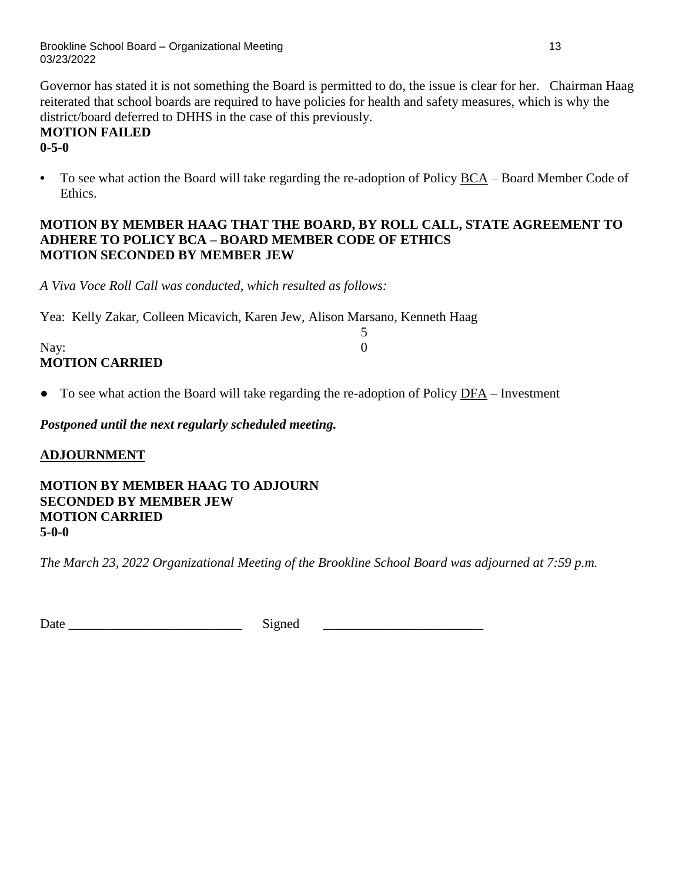Brookline School Board – Organizational Meeting 13 03/23/2022

Governor has stated it is not something the Board is permitted to do, the issue is clear for her. Chairman Haag reiterated that school boards are required to have policies for health and safety measures, which is why the district/board deferred to DHHS in the case of this previously.

### **MOTION FAILED 0-5-0**

**•** To see what action the Board will take regarding the re-adoption of Policy [BCA](http://z2policy.ctspublish.com/policy/browse/brooklineset/brookline/z20000014/JD_bca) – Board Member Code of Ethics.

## **MOTION BY MEMBER HAAG THAT THE BOARD, BY ROLL CALL, STATE AGREEMENT TO ADHERE TO POLICY BCA – BOARD MEMBER CODE OF ETHICS MOTION SECONDED BY MEMBER JEW**

*A Viva Voce Roll Call was conducted, which resulted as follows:*

Yea: Kelly Zakar, Colleen Micavich, Karen Jew, Alison Marsano, Kenneth Haag

| Nay:                  |  |
|-----------------------|--|
| <b>MOTION CARRIED</b> |  |

● To see what action the Board will take regarding the re-adoption of Policy [DFA](http://z2policy.ctspublish.com/policy/browse/brooklineset/brookline/z20000049/JD_dfa) – Investment

*Postponed until the next regularly scheduled meeting.*

# **ADJOURNMENT**

**MOTION BY MEMBER HAAG TO ADJOURN SECONDED BY MEMBER JEW MOTION CARRIED 5-0-0**

*The March 23, 2022 Organizational Meeting of the Brookline School Board was adjourned at 7:59 p.m.*

Date \_\_\_\_\_\_\_\_\_\_\_\_\_\_\_\_\_\_\_\_\_\_\_\_\_\_ Signed \_\_\_\_\_\_\_\_\_\_\_\_\_\_\_\_\_\_\_\_\_\_\_\_